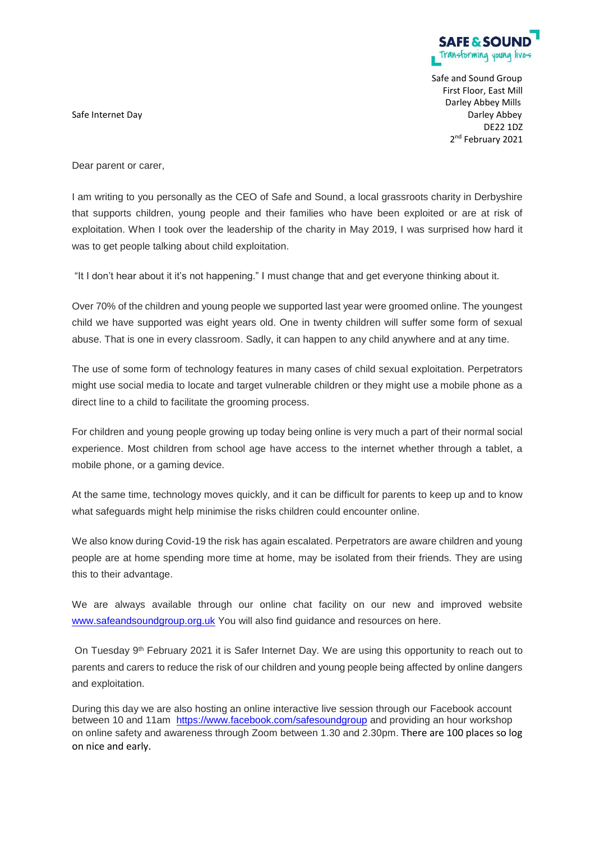

Safe and Sound Group First Floor, East Mill Darley Abbey Mills Safe Internet Day Darley Abbey DE22 1DZ 2<sup>nd</sup> February 2021

Dear parent or carer,

I am writing to you personally as the CEO of Safe and Sound, a local grassroots charity in Derbyshire that supports children, young people and their families who have been exploited or are at risk of exploitation. When I took over the leadership of the charity in May 2019, I was surprised how hard it was to get people talking about child exploitation.

"It I don't hear about it it's not happening." I must change that and get everyone thinking about it.

Over 70% of the children and young people we supported last year were groomed online. The youngest child we have supported was eight years old. One in twenty children will suffer some form of sexual abuse. That is one in every classroom. Sadly, it can happen to any child anywhere and at any time.

The use of some form of technology features in many cases of child sexual exploitation. Perpetrators might use social media to locate and target vulnerable children or they might use a mobile phone as a direct line to a child to facilitate the grooming process.

For children and young people growing up today being online is very much a part of their normal social experience. Most children from school age have access to the internet whether through a tablet, a mobile phone, or a gaming device.

At the same time, technology moves quickly, and it can be difficult for parents to keep up and to know what safeguards might help minimise the risks children could encounter online.

We also know during Covid-19 the risk has again escalated. Perpetrators are aware children and young people are at home spending more time at home, may be isolated from their friends. They are using this to their advantage.

We are always available through our online chat facility on our new and improved website [www.safeandsoundgroup.org.uk](http://www.safeandsoundgroup.org.uk/) You will also find guidance and resources on here.

On Tuesday 9<sup>th</sup> February 2021 it is Safer Internet Day. We are using this opportunity to reach out to parents and carers to reduce the risk of our children and young people being affected by online dangers and exploitation.

During this day we are also hosting an online interactive live session through our Facebook account between 10 and 11am <https://www.facebook.com/safesoundgroup> and providing an hour workshop on online safety and awareness through Zoom between 1.30 and 2.30pm. There are 100 places so log on nice and early.